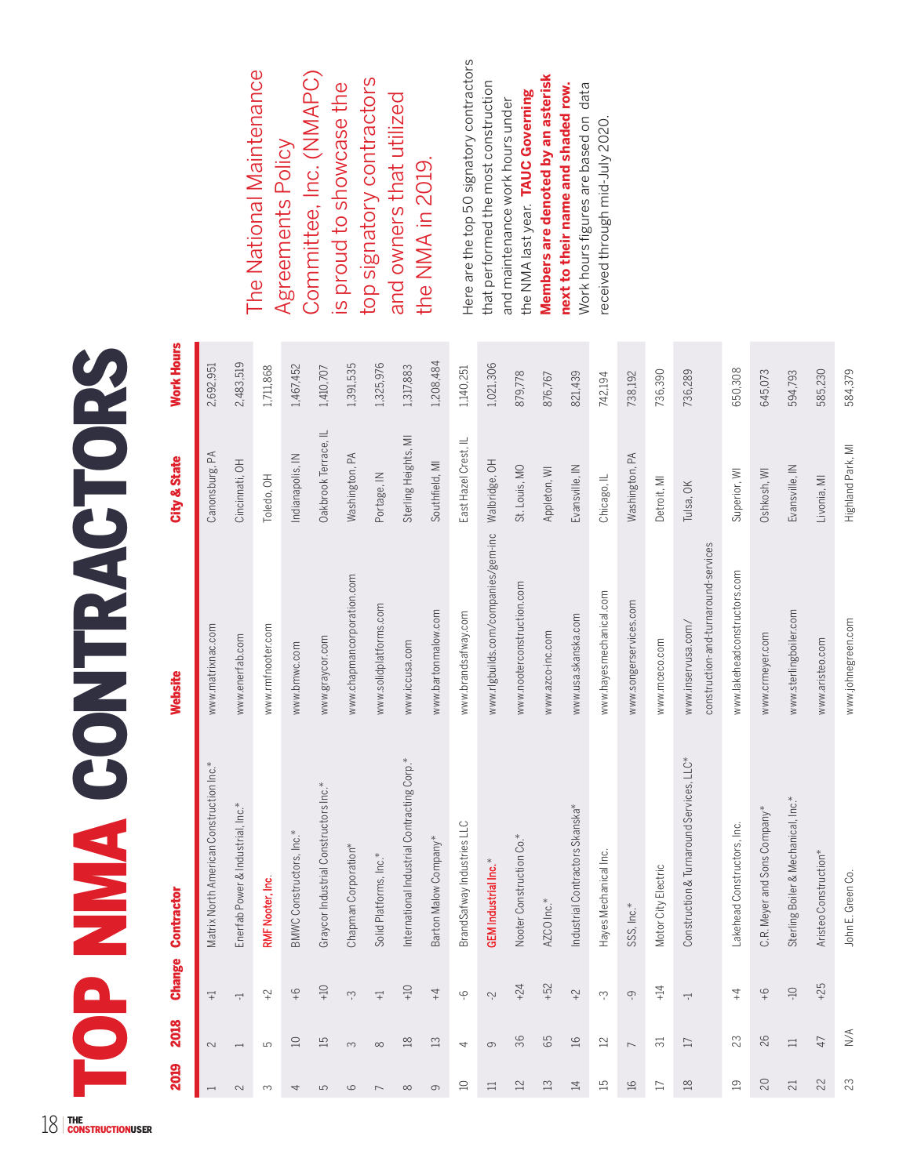## **TOP NM CONTRACTORS** TOP NMA CONTRACTORS

| 2019                     | 2018                     | <b>Change</b>            | Contractor                                  | Website                                                    | City & State         | Work Hours |
|--------------------------|--------------------------|--------------------------|---------------------------------------------|------------------------------------------------------------|----------------------|------------|
| $\overline{\phantom{0}}$ | $\sim$                   | $\overline{+}$           | Matrix North American Construction Inc.*    | www.matrixnac.com                                          | Canonsburg, PA       | 2,692,951  |
| 2                        | $\overline{\phantom{0}}$ | $\overline{\phantom{0}}$ | Enerfab Power & Industrial, Inc.*           | www.enerfab.com                                            | Cincinnati, OH       | 2,483,519  |
| $\infty$                 | ഥ                        | $\widetilde{ }$          | RMF Nooter, Inc.                            | www.rmfnooter.com                                          | Toledo, OH           | 1,711,868  |
| 4                        | $\Box$                   | $\frac{Q}{+}$            | BMWC Constructors, Inc.*                    | www.bmwc.com                                               | Indianapolis, IN     | 1,467,452  |
| 5                        | IJ                       | $-10$                    | Graycor Industrial Constructors Inc.*       | www.graycor.com                                            | Oakbrook Terrace, IL | 1,410,707  |
| $\circ$                  | $\infty$                 | ကု                       | Chapman Corporation*                        | www.chapmancorporation.com                                 | Washington, PA       | 1,391,535  |
|                          | $\infty$                 | $\overline{+}$           | Solid Platforms, Inc.*                      | www.solidplatforms.com                                     | Portage, IN          | 1,325,976  |
| $\infty$                 | $\frac{8}{18}$           | $-10$                    | International Industrial Contracting Corp.* | www.iccusa.com                                             | Sterling Heights, MI | 1,317,883  |
| $\circ$                  | $\Xi$                    | $\ddagger$               | Barton Malow Company*                       | www.bartonmalow.com                                        | Southfield, MI       | 1,208,484  |
| $\supseteq$              | 4                        | φ                        | BrandSafway Industries LLC                  | www.brandsafway.com                                        | East Hazel Crest, IL | 1,140,251  |
| $\equiv$                 | $\circ$                  | Ņ                        | <b>GEM</b> Industrial Inc.*                 | www.rlgbuilds.com/companies/gem-inc                        | Walbridge, OH        | 1,021,306  |
| $\overline{\mathbb{2}}$  | 36                       | $+24$                    | Nooter Construction Co.*                    | www.nooterconstruction.com                                 | St. Louis, MO        | 879,778    |
| $\Xi$                    | 65                       | $+52$                    | AZCO Inc.*                                  | www.azco-inc.com                                           | Appleton, WI         | 876,767    |
| $\overline{4}$           | $\Xi$                    | $\widetilde{+}$          | Industrial Contractors Skanska*             | www.usa.skanska.com                                        | Evansville, IN       | 821,439    |
| $\Xi$                    | $22$                     | က္                       | Hayes Mechanical Inc.                       | www.hayesmechanical.com                                    | Chicago, IL          | 742,194    |
| $\frac{1}{2}$            | $\overline{ }$           | တု                       | SSS, Inc.*                                  | www.songerservices.com                                     | Washington, PA       | 738,192    |
| $\Box$                   | ಸ                        | $+14$                    | Motor City Electric                         | www.mceco.com                                              | Detroit, MI          | 736,390    |
| $\frac{8}{10}$           | $\square$                | Ļ                        | Construction & Turnaround Services, LLC*    | construction-and-turnaround-services<br>www.inservusa.com/ | Tulsa, OK            | 736,289    |
| $\overline{19}$          | 23                       | $\overline{4}$           | Lakehead Constructors, Inc.                 | www.lakeheadconstructors.com                               | Superior, WI         | 650,308    |
| $\overline{C}$           | 26                       | $\frac{9}{4}$            | C.R. Meyer and Sons Company*                | www.crmeyer.com                                            | Oshkosh, WI          | 645,073    |
| 21                       | $\equiv$                 | $Q_{\mathsf{L}}$         | Sterling Boiler & Mechanical, Inc.*         | www.sterlingboiler.com                                     | Evansville, IN       | 594,793    |
| 22                       | 47                       | $+25$                    | Aristeo Construction*                       | www.aristeo.com                                            | Livonia, MI          | 585,230    |
| 23                       | N/A                      |                          | John E. Green Co.                           | www.johnegreen.com                                         | Highland Park, MI    | 584,379    |

The National Maintenance Committee, Inc. (NMAPC) The National Maintenance Committee, Inc. (NMAPC) top signatory contractors top signatory contractors is proud to showcase the is proud to showcase the and owners that utilized and owners that utilized Agreements Policy Agreements Policy the NMA in 2019. the NMA in 2019.

Here are the top 50 signatory contractors Here are the top 50 signatory contractors **Members are denoted by an asterisk**  Members are denoted by an asterisk that performed the most construction that performed the most construction Work hours figures are based on data Work hours figures are based on data next to their name and shaded row. **next to their name and shaded row.** the NMA last year. TAUC Governing the NMA last year. **TAUC Governing**  and maintenance work hours under and maintenance work hours under received through mid-July 2020. received through mid-July 2020.